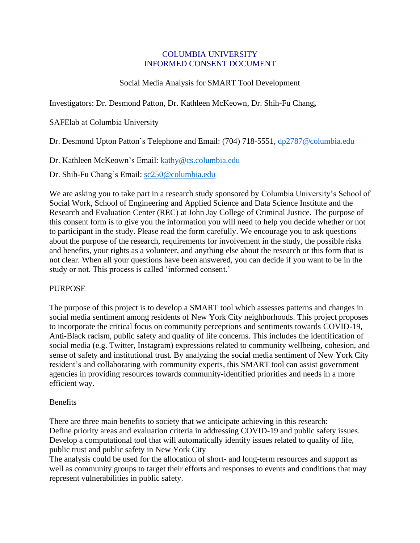### COLUMBIA UNIVERSITY INFORMED CONSENT DOCUMENT

# Social Media Analysis for SMART Tool Development

## Investigators: Dr. Desmond Patton, Dr. Kathleen McKeown, Dr. Shih-Fu Chang**,**

SAFElab at Columbia University

Dr. Desmond Upton Patton's Telephone and Email: (704) 718-5551, [dp2787@columbia.edu](mailto:dp2787@columbia.edu)

Dr. Kathleen McKeown's Email: [kathy@cs.columbia.edu](mailto:kathy@cs.columbia.edu)

Dr. Shih-Fu Chang's Email: [sc250@columbia.edu](mailto:sc250@columbia.edu)

We are asking you to take part in a research study sponsored by Columbia University's School of Social Work, School of Engineering and Applied Science and Data Science Institute and the Research and Evaluation Center (REC) at John Jay College of Criminal Justice. The purpose of this consent form is to give you the information you will need to help you decide whether or not to participant in the study. Please read the form carefully. We encourage you to ask questions about the purpose of the research, requirements for involvement in the study, the possible risks and benefits, your rights as a volunteer, and anything else about the research or this form that is not clear. When all your questions have been answered, you can decide if you want to be in the study or not. This process is called 'informed consent.'

#### **PURPOSE**

The purpose of this project is to develop a SMART tool which assesses patterns and changes in social media sentiment among residents of New York City neighborhoods. This project proposes to incorporate the critical focus on community perceptions and sentiments towards COVID-19, Anti-Black racism, public safety and quality of life concerns. This includes the identification of social media (e.g. Twitter, Instagram) expressions related to community wellbeing, cohesion, and sense of safety and institutional trust. By analyzing the social media sentiment of New York City resident's and collaborating with community experts, this SMART tool can assist government agencies in providing resources towards community-identified priorities and needs in a more efficient way.

#### Benefits

There are three main benefits to society that we anticipate achieving in this research: Define priority areas and evaluation criteria in addressing COVID-19 and public safety issues. Develop a computational tool that will automatically identify issues related to quality of life, public trust and public safety in New York City

The analysis could be used for the allocation of short- and long-term resources and support as well as community groups to target their efforts and responses to events and conditions that may represent vulnerabilities in public safety.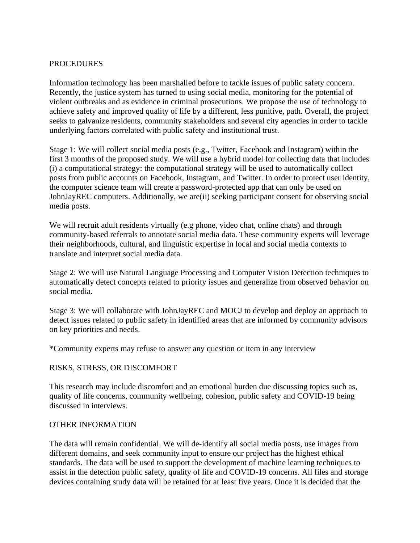## **PROCEDURES**

Information technology has been marshalled before to tackle issues of public safety concern. Recently, the justice system has turned to using social media, monitoring for the potential of violent outbreaks and as evidence in criminal prosecutions. We propose the use of technology to achieve safety and improved quality of life by a different, less punitive, path. Overall, the project seeks to galvanize residents, community stakeholders and several city agencies in order to tackle underlying factors correlated with public safety and institutional trust.

Stage 1: We will collect social media posts (e.g., Twitter, Facebook and Instagram) within the first 3 months of the proposed study. We will use a hybrid model for collecting data that includes (i) a computational strategy: the computational strategy will be used to automatically collect posts from public accounts on Facebook, Instagram, and Twitter. In order to protect user identity, the computer science team will create a password-protected app that can only be used on JohnJayREC computers. Additionally, we are(ii) seeking participant consent for observing social media posts.

We will recruit adult residents virtually (e.g phone, video chat, online chats) and through community-based referrals to annotate social media data. These community experts will leverage their neighborhoods, cultural, and linguistic expertise in local and social media contexts to translate and interpret social media data.

Stage 2: We will use Natural Language Processing and Computer Vision Detection techniques to automatically detect concepts related to priority issues and generalize from observed behavior on social media.

Stage 3: We will collaborate with JohnJayREC and MOCJ to develop and deploy an approach to detect issues related to public safety in identified areas that are informed by community advisors on key priorities and needs.

\*Community experts may refuse to answer any question or item in any interview

# RISKS, STRESS, OR DISCOMFORT

This research may include discomfort and an emotional burden due discussing topics such as, quality of life concerns, community wellbeing, cohesion, public safety and COVID-19 being discussed in interviews.

#### OTHER INFORMATION

The data will remain confidential. We will de-identify all social media posts, use images from different domains, and seek community input to ensure our project has the highest ethical standards. The data will be used to support the development of machine learning techniques to assist in the detection public safety, quality of life and COVID-19 concerns. All files and storage devices containing study data will be retained for at least five years. Once it is decided that the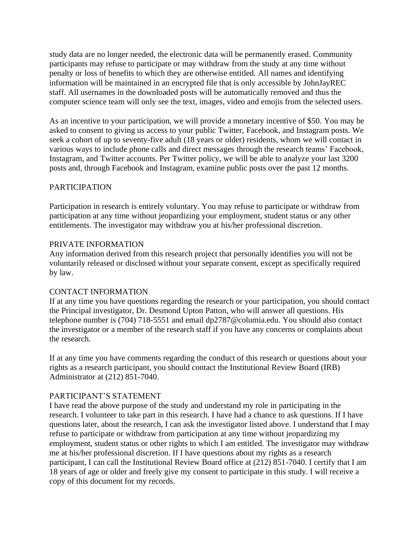study data are no longer needed, the electronic data will be permanently erased. Community participants may refuse to participate or may withdraw from the study at any time without penalty or loss of benefits to which they are otherwise entitled. All names and identifying information will be maintained in an encrypted file that is only accessible by JohnJayREC staff. All usernames in the downloaded posts will be automatically removed and thus the computer science team will only see the text, images, video and emojis from the selected users.

As an incentive to your participation, we will provide a monetary incentive of \$50. You may be asked to consent to giving us access to your public Twitter, Facebook, and Instagram posts. We seek a cohort of up to seventy-five adult (18 years or older) residents, whom we will contact in various ways to include phone calls and direct messages through the research teams' Facebook, Instagram, and Twitter accounts. Per Twitter policy, we will be able to analyze your last 3200 posts and, through Facebook and Instagram, examine public posts over the past 12 months.

## PARTICIPATION

Participation in research is entirely voluntary. You may refuse to participate or withdraw from participation at any time without jeopardizing your employment, student status or any other entitlements. The investigator may withdraw you at his/her professional discretion.

#### PRIVATE INFORMATION

Any information derived from this research project that personally identifies you will not be voluntarily released or disclosed without your separate consent, except as specifically required by law.

#### CONTACT INFORMATION

If at any time you have questions regarding the research or your participation, you should contact the Principal investigator, Dr. Desmond Upton Patton, who will answer all questions. His telephone number is (704) 718-5551 and email [dp2787@columia.edu.](mailto:dp2787@columia.edu) You should also contact the investigator or a member of the research staff if you have any concerns or complaints about the research.

If at any time you have comments regarding the conduct of this research or questions about your rights as a research participant, you should contact the Institutional Review Board (IRB) Administrator at (212) 851-7040.

#### PARTICIPANT'S STATEMENT

I have read the above purpose of the study and understand my role in participating in the research. I volunteer to take part in this research. I have had a chance to ask questions. If I have questions later, about the research, I can ask the investigator listed above. I understand that I may refuse to participate or withdraw from participation at any time without jeopardizing my employment, student status or other rights to which I am entitled. The investigator may withdraw me at his/her professional discretion. If I have questions about my rights as a research participant, I can call the Institutional Review Board office at (212) 851-7040. I certify that I am 18 years of age or older and freely give my consent to participate in this study. I will receive a copy of this document for my records.